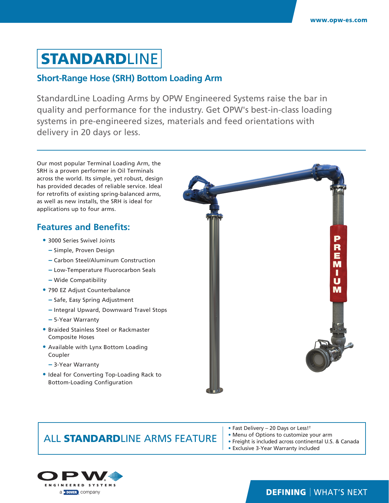# **STANDARDLINE**

#### **Short-Range Hose (SRH) Bottom Loading Arm**

StandardLine Loading Arms by OPW Engineered Systems raise the bar in quality and performance for the industry. Get OPW's best-in-class loading systems in pre-engineered sizes, materials and feed orientations with delivery in 20 days or less.

Our most popular Terminal Loading Arm, the SRH is a proven performer in Oil Terminals across the world. Its simple, yet robust, design has provided decades of reliable service. Ideal for retrofits of existing spring-balanced arms, as well as new installs, the SRH is ideal for applications up to four arms.

#### **Features and Benefits:**

- **•** 3000 Series Swivel Joints
	- **−** Simple, Proven Design
	- **−** Carbon Steel/Aluminum Construction
	- **−** Low-Temperature Fluorocarbon Seals
	- **−** Wide Compatibility
- **•** 790 EZ Adjust Counterbalance
	- **−** Safe, Easy Spring Adjustment
	- **−** Integral Upward, Downward Travel Stops
	- **−** 5-Year Warranty
- **•** Braided Stainless Steel or Rackmaster Composite Hoses
- **•** Available with Lynx Bottom Loading Coupler
	- **−** 3-Year Warranty
- **•** Ideal for Converting Top-Loading Rack to Bottom-Loading Configuration



### ALL STANDARDLINE ARMS FEATURE

- Fast Delivery 20 Days or Less!†
- Menu of Options to customize your arm
- Freight is included across continental U.S. & Canada
- Exclusive 3-Year Warranty included



### **DEFINING | WHAT'S NEXT**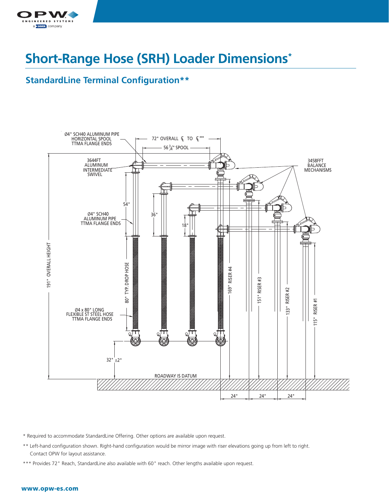

# **Short-Range Hose (SRH) Loader Dimensions\***

#### **StandardLine Terminal Configuration\*\***



\* Required to accommodate StandardLine Offering. Other options are available upon request.

- \*\* Left-hand configuration shown. Right-hand configuration would be mirror image with riser elevations going up from left to right. Contact OPW for layout assistance.
- \*\*\* Provides 72" Reach, StandardLine also available with 60" reach. Other lengths available upon request.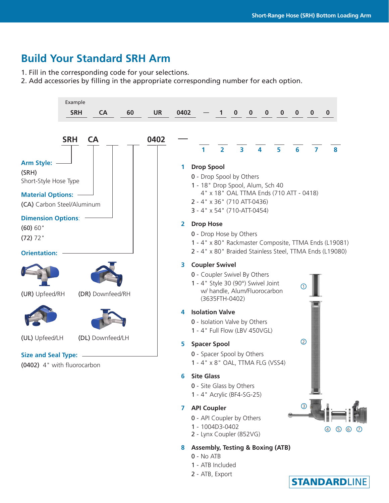## **Build Your Standard SRH Arm**

1. Fill in the corresponding code for your selections.

2. Add accessories by filling in the appropriate corresponding number for each option.



- 1 1004D3-0402
- 2 Lynx Coupler (852VG)

#### **8 Assembly, Testing & Boxing (ATB)**

- 0 No ATB
- 1 ATB Included
- 2 ATB, Export



4 5 6 7